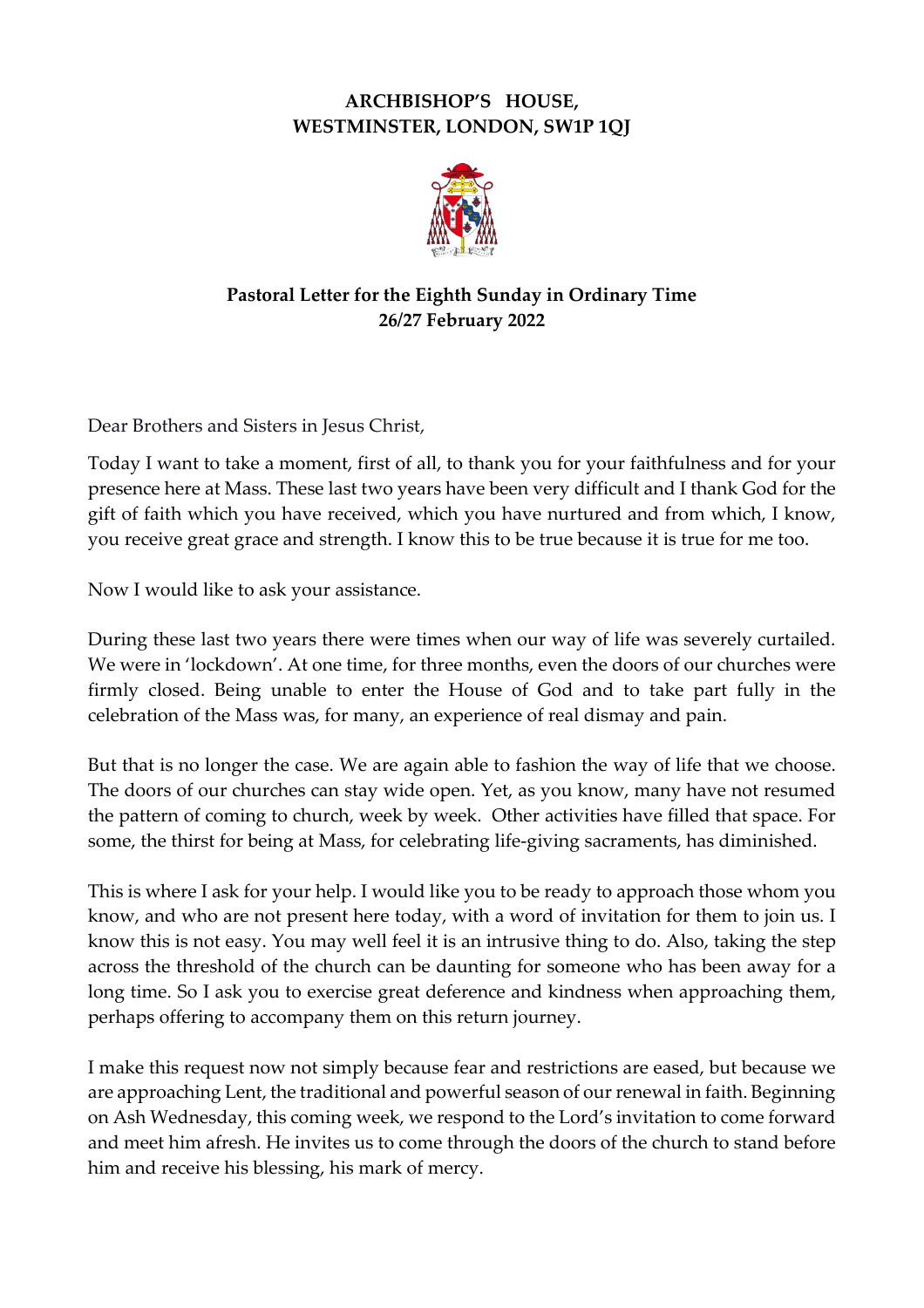## **ARCHBISHOP'S HOUSE, WESTMINSTER, LONDON, SW1P 1QJ**



## **Pastoral Letter for the Eighth Sunday in Ordinary Time 26/27 February 2022**

Dear Brothers and Sisters in Jesus Christ,

Today I want to take a moment, first of all, to thank you for your faithfulness and for your presence here at Mass. These last two years have been very difficult and I thank God for the gift of faith which you have received, which you have nurtured and from which, I know, you receive great grace and strength. I know this to be true because it is true for me too.

Now I would like to ask your assistance.

During these last two years there were times when our way of life was severely curtailed. We were in 'lockdown'. At one time, for three months, even the doors of our churches were firmly closed. Being unable to enter the House of God and to take part fully in the celebration of the Mass was, for many, an experience of real dismay and pain.

But that is no longer the case. We are again able to fashion the way of life that we choose. The doors of our churches can stay wide open. Yet, as you know, many have not resumed the pattern of coming to church, week by week. Other activities have filled that space. For some, the thirst for being at Mass, for celebrating life-giving sacraments, has diminished.

This is where I ask for your help. I would like you to be ready to approach those whom you know, and who are not present here today, with a word of invitation for them to join us. I know this is not easy. You may well feel it is an intrusive thing to do. Also, taking the step across the threshold of the church can be daunting for someone who has been away for a long time. So I ask you to exercise great deference and kindness when approaching them, perhaps offering to accompany them on this return journey.

I make this request now not simply because fear and restrictions are eased, but because we are approaching Lent, the traditional and powerful season of our renewal in faith. Beginning on Ash Wednesday, this coming week, we respond to the Lord's invitation to come forward and meet him afresh. He invites us to come through the doors of the church to stand before him and receive his blessing, his mark of mercy.